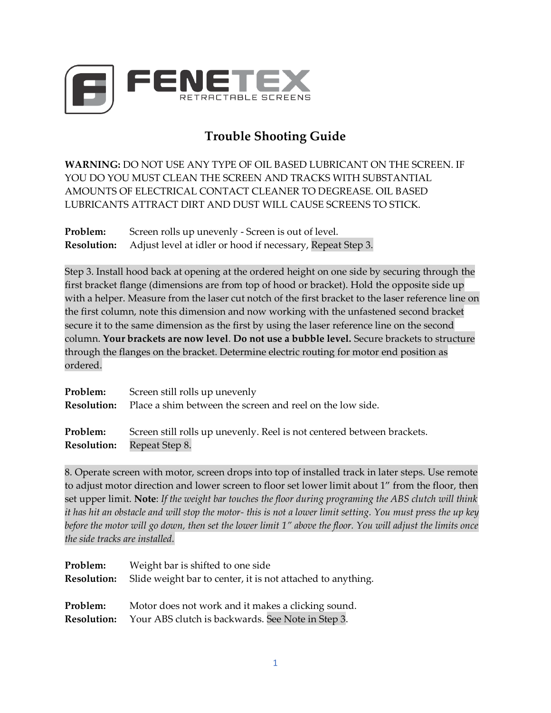

## **Trouble Shooting Guide**

**WARNING:** DO NOT USE ANY TYPE OF OIL BASED LUBRICANT ON THE SCREEN. IF YOU DO YOU MUST CLEAN THE SCREEN AND TRACKS WITH SUBSTANTIAL AMOUNTS OF ELECTRICAL CONTACT CLEANER TO DEGREASE. OIL BASED LUBRICANTS ATTRACT DIRT AND DUST WILL CAUSE SCREENS TO STICK.

**Problem:** Screen rolls up unevenly - Screen is out of level. **Resolution:** Adjust level at idler or hood if necessary, Repeat Step 3.

Step 3. Install hood back at opening at the ordered height on one side by securing through the first bracket flange (dimensions are from top of hood or bracket). Hold the opposite side up with a helper. Measure from the laser cut notch of the first bracket to the laser reference line on the first column, note this dimension and now working with the unfastened second bracket secure it to the same dimension as the first by using the laser reference line on the second column. **Your brackets are now level**. **Do not use a bubble level.** Secure brackets to structure through the flanges on the bracket. Determine electric routing for motor end position as ordered.

| Problem:           | Screen still rolls up unevenly                                         |
|--------------------|------------------------------------------------------------------------|
| <b>Resolution:</b> | Place a shim between the screen and reel on the low side.              |
| Problem:           | Screen still rolls up unevenly. Reel is not centered between brackets. |
| <b>Resolution:</b> | Repeat Step 8.                                                         |

8. Operate screen with motor, screen drops into top of installed track in later steps. Use remote to adjust motor direction and lower screen to floor set lower limit about 1" from the floor, then set upper limit. **Note**: *If the weight bar touches the floor during programing the ABS clutch will think it has hit an obstacle and will stop the motor- this is not a lower limit setting. You must press the up key before the motor will go down, then set the lower limit 1" above the floor. You will adjust the limits once the side tracks are installed.*

| Problem:           | Weight bar is shifted to one side                           |
|--------------------|-------------------------------------------------------------|
| <b>Resolution:</b> | Slide weight bar to center, it is not attached to anything. |
| Problem:           | Motor does not work and it makes a clicking sound.          |
| <b>Resolution:</b> | Your ABS clutch is backwards. See Note in Step 3.           |